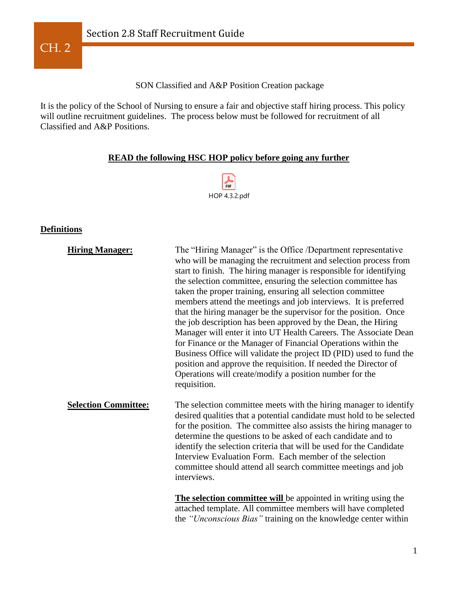

SON Classified and A&P Position Creation package

It is the policy of the School of Nursing to ensure a fair and objective staff hiring process. This policy will outline recruitment guidelines. The process below must be followed for recruitment of all Classified and A&P Positions.

## **READ the following HSC HOP policy before going any further**



#### **Definitions**

| <b>Hiring Manager:</b>      | The "Hiring Manager" is the Office /Department representative<br>who will be managing the recruitment and selection process from<br>start to finish. The hiring manager is responsible for identifying<br>the selection committee, ensuring the selection committee has<br>taken the proper training, ensuring all selection committee<br>members attend the meetings and job interviews. It is preferred<br>that the hiring manager be the supervisor for the position. Once<br>the job description has been approved by the Dean, the Hiring<br>Manager will enter it into UT Health Careers. The Associate Dean<br>for Finance or the Manager of Financial Operations within the<br>Business Office will validate the project ID (PID) used to fund the<br>position and approve the requisition. If needed the Director of<br>Operations will create/modify a position number for the<br>requisition. |
|-----------------------------|----------------------------------------------------------------------------------------------------------------------------------------------------------------------------------------------------------------------------------------------------------------------------------------------------------------------------------------------------------------------------------------------------------------------------------------------------------------------------------------------------------------------------------------------------------------------------------------------------------------------------------------------------------------------------------------------------------------------------------------------------------------------------------------------------------------------------------------------------------------------------------------------------------|
| <b>Selection Committee:</b> | The selection committee meets with the hiring manager to identify<br>desired qualities that a potential candidate must hold to be selected<br>for the position. The committee also assists the hiring manager to<br>determine the questions to be asked of each candidate and to<br>identify the selection criteria that will be used for the Candidate<br>Interview Evaluation Form. Each member of the selection<br>committee should attend all search committee meetings and job<br>interviews.<br><b>The selection committee will</b> be appointed in writing using the                                                                                                                                                                                                                                                                                                                              |

attached template. All committee members will have completed the *"Unconscious Bias"* training on the knowledge center within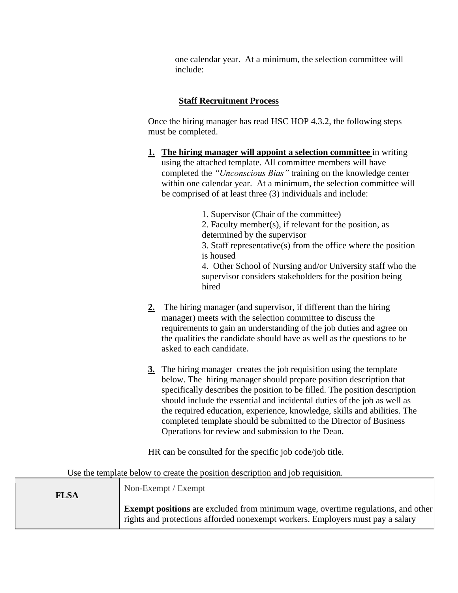one calendar year. At a minimum, the selection committee will include:

### **Staff Recruitment Process**

Once the hiring manager has read HSC HOP 4.3.2, the following steps must be completed.

**1. The hiring manager will appoint a selection committee** in writing using the attached template. All committee members will have completed the *"Unconscious Bias"* training on the knowledge center within one calendar year. At a minimum, the selection committee will be comprised of at least three (3) individuals and include:

> 1. Supervisor (Chair of the committee) 2. Faculty member(s), if relevant for the position, as determined by the supervisor 3. Staff representative(s) from the office where the position is housed 4. Other School of Nursing and/or University staff who the

supervisor considers stakeholders for the position being hired

- **2.** The hiring manager (and supervisor, if different than the hiring manager) meets with the selection committee to discuss the requirements to gain an understanding of the job duties and agree on the qualities the candidate should have as well as the questions to be asked to each candidate.
- **3.** The hiring manager creates the job requisition using the template below. The hiring manager should prepare position description that specifically describes the position to be filled. The position description should include the essential and incidental duties of the job as well as the required education, experience, knowledge, skills and abilities. The completed template should be submitted to the Director of Business Operations for review and submission to the Dean.

HR can be consulted for the specific job code/job title.

| <b>FLSA</b> | Non-Exempt / Exempt                                                                                                                                                       |
|-------------|---------------------------------------------------------------------------------------------------------------------------------------------------------------------------|
|             | <b>Exempt positions</b> are excluded from minimum wage, overtime regulations, and other<br>rights and protections afforded nonexempt workers. Employers must pay a salary |

Use the template below to create the position description and job requisition.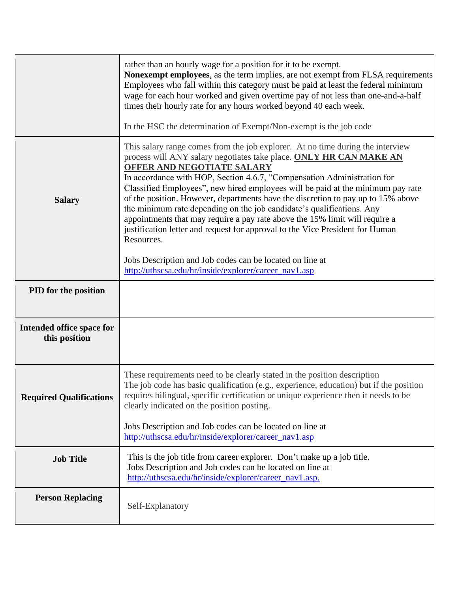|                                            | rather than an hourly wage for a position for it to be exempt.<br>Nonexempt employees, as the term implies, are not exempt from FLSA requirements<br>Employees who fall within this category must be paid at least the federal minimum<br>wage for each hour worked and given overtime pay of not less than one-and-a-half<br>times their hourly rate for any hours worked beyond 40 each week.<br>In the HSC the determination of Exempt/Non-exempt is the job code                                                                                                                                                                                                                                                                                                                                             |  |
|--------------------------------------------|------------------------------------------------------------------------------------------------------------------------------------------------------------------------------------------------------------------------------------------------------------------------------------------------------------------------------------------------------------------------------------------------------------------------------------------------------------------------------------------------------------------------------------------------------------------------------------------------------------------------------------------------------------------------------------------------------------------------------------------------------------------------------------------------------------------|--|
| <b>Salary</b>                              | This salary range comes from the job explorer. At no time during the interview<br>process will ANY salary negotiates take place. ONLY HR CAN MAKE AN<br>OFFER AND NEGOTIATE SALARY<br>In accordance with HOP, Section 4.6.7, "Compensation Administration for<br>Classified Employees", new hired employees will be paid at the minimum pay rate<br>of the position. However, departments have the discretion to pay up to 15% above<br>the minimum rate depending on the job candidate's qualifications. Any<br>appointments that may require a pay rate above the 15% limit will require a<br>justification letter and request for approval to the Vice President for Human<br>Resources.<br>Jobs Description and Job codes can be located on line at<br>http://uthscsa.edu/hr/inside/explorer/career_nav1.asp |  |
| PID for the position                       |                                                                                                                                                                                                                                                                                                                                                                                                                                                                                                                                                                                                                                                                                                                                                                                                                  |  |
| Intended office space for<br>this position |                                                                                                                                                                                                                                                                                                                                                                                                                                                                                                                                                                                                                                                                                                                                                                                                                  |  |
| <b>Required Qualifications</b>             | These requirements need to be clearly stated in the position description<br>The job code has basic qualification (e.g., experience, education) but if the position<br>requires bilingual, specific certification or unique experience then it needs to be<br>clearly indicated on the position posting.<br>Jobs Description and Job codes can be located on line at                                                                                                                                                                                                                                                                                                                                                                                                                                              |  |
|                                            | http://uthscsa.edu/hr/inside/explorer/career_nav1.asp                                                                                                                                                                                                                                                                                                                                                                                                                                                                                                                                                                                                                                                                                                                                                            |  |
| <b>Job Title</b>                           | This is the job title from career explorer. Don't make up a job title.<br>Jobs Description and Job codes can be located on line at<br>http://uthscsa.edu/hr/inside/explorer/career_nav1.asp.                                                                                                                                                                                                                                                                                                                                                                                                                                                                                                                                                                                                                     |  |
| <b>Person Replacing</b>                    | Self-Explanatory                                                                                                                                                                                                                                                                                                                                                                                                                                                                                                                                                                                                                                                                                                                                                                                                 |  |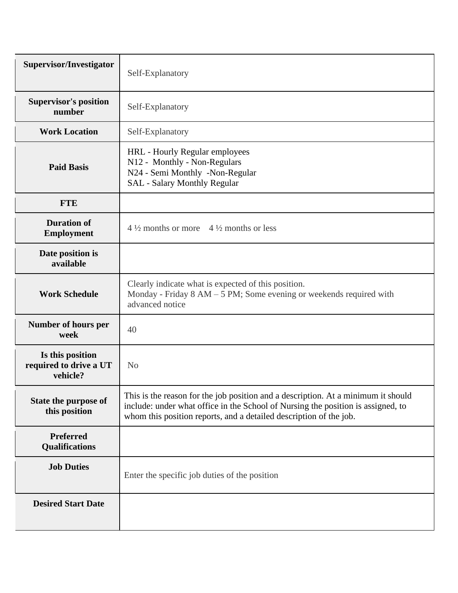| Supervisor/Investigator                                | Self-Explanatory                                                                                                                                                                                                                            |  |  |
|--------------------------------------------------------|---------------------------------------------------------------------------------------------------------------------------------------------------------------------------------------------------------------------------------------------|--|--|
| <b>Supervisor's position</b><br>number                 | Self-Explanatory                                                                                                                                                                                                                            |  |  |
| <b>Work Location</b>                                   | Self-Explanatory                                                                                                                                                                                                                            |  |  |
| <b>Paid Basis</b>                                      | HRL - Hourly Regular employees<br>N12 - Monthly - Non-Regulars<br>N24 - Semi Monthly -Non-Regular<br><b>SAL</b> - Salary Monthly Regular                                                                                                    |  |  |
| <b>FTE</b>                                             |                                                                                                                                                                                                                                             |  |  |
| <b>Duration of</b><br><b>Employment</b>                | $4\frac{1}{2}$ months or more $4\frac{1}{2}$ months or less                                                                                                                                                                                 |  |  |
| Date position is<br>available                          |                                                                                                                                                                                                                                             |  |  |
| <b>Work Schedule</b>                                   | Clearly indicate what is expected of this position.<br>Monday - Friday $8 AM - 5 PM$ ; Some evening or weekends required with<br>advanced notice                                                                                            |  |  |
| <b>Number of hours per</b><br>week                     | 40                                                                                                                                                                                                                                          |  |  |
| Is this position<br>required to drive a UT<br>vehicle? | N <sub>0</sub>                                                                                                                                                                                                                              |  |  |
| State the purpose of<br>this position                  | This is the reason for the job position and a description. At a minimum it should<br>include: under what office in the School of Nursing the position is assigned, to<br>whom this position reports, and a detailed description of the job. |  |  |
| Preferred<br>Qualifications                            |                                                                                                                                                                                                                                             |  |  |
| <b>Job Duties</b>                                      | Enter the specific job duties of the position                                                                                                                                                                                               |  |  |
| <b>Desired Start Date</b>                              |                                                                                                                                                                                                                                             |  |  |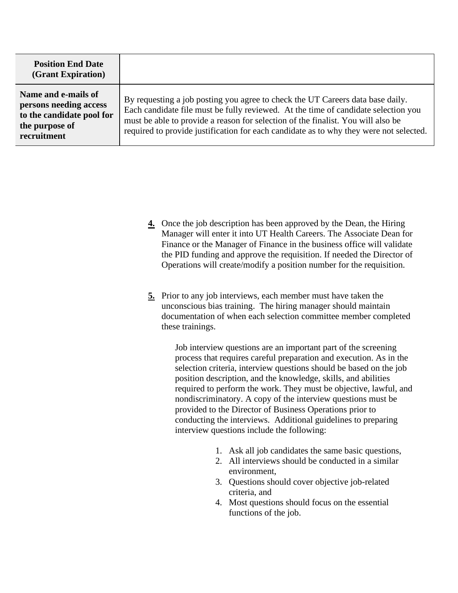| <b>Position End Date</b><br>(Grant Expiration)                                                              |                                                                                                                                                                                                                                                                                                                                                    |
|-------------------------------------------------------------------------------------------------------------|----------------------------------------------------------------------------------------------------------------------------------------------------------------------------------------------------------------------------------------------------------------------------------------------------------------------------------------------------|
| Name and e-mails of<br>persons needing access<br>to the candidate pool for<br>the purpose of<br>recruitment | By requesting a job posting you agree to check the UT Careers data base daily.<br>Each candidate file must be fully reviewed. At the time of candidate selection you<br>must be able to provide a reason for selection of the finalist. You will also be<br>required to provide justification for each candidate as to why they were not selected. |

- **4.** Once the job description has been approved by the Dean, the Hiring Manager will enter it into UT Health Careers. The Associate Dean for Finance or the Manager of Finance in the business office will validate the PID funding and approve the requisition. If needed the Director of Operations will create/modify a position number for the requisition.
- **5.** Prior to any job interviews, each member must have taken the unconscious bias training. The hiring manager should maintain documentation of when each selection committee member completed these trainings.

Job interview questions are an important part of the screening process that requires careful preparation and execution. As in the selection criteria, interview questions should be based on the job position description, and the knowledge, skills, and abilities required to perform the work. They must be objective, lawful, and nondiscriminatory. A copy of the interview questions must be provided to the Director of Business Operations prior to conducting the interviews. Additional guidelines to preparing interview questions include the following:

- 1. Ask all job candidates the same basic questions,
- 2. All interviews should be conducted in a similar environment,
- 3. Questions should cover objective job-related criteria, and
- 4. Most questions should focus on the essential functions of the job.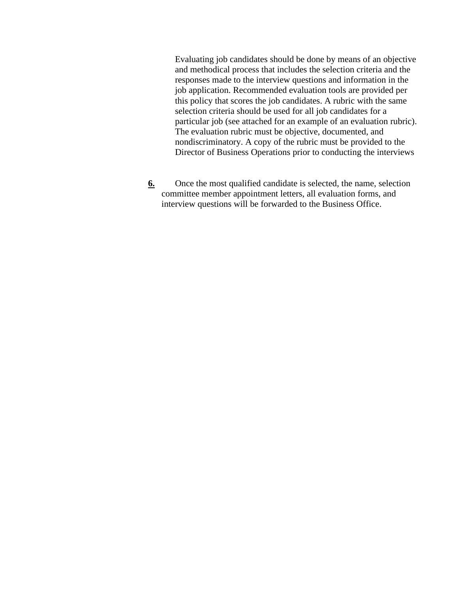Evaluating job candidates should be done by means of an objective and methodical process that includes the selection criteria and the responses made to the interview questions and information in the job application. Recommended evaluation tools are provided per this policy that scores the job candidates. A rubric with the same selection criteria should be used for all job candidates for a particular job (see attached for an example of an evaluation rubric). The evaluation rubric must be objective, documented, and nondiscriminatory. A copy of the rubric must be provided to the Director of Business Operations prior to conducting the interviews

**6.** Once the most qualified candidate is selected, the name, selection committee member appointment letters, all evaluation forms, and interview questions will be forwarded to the Business Office.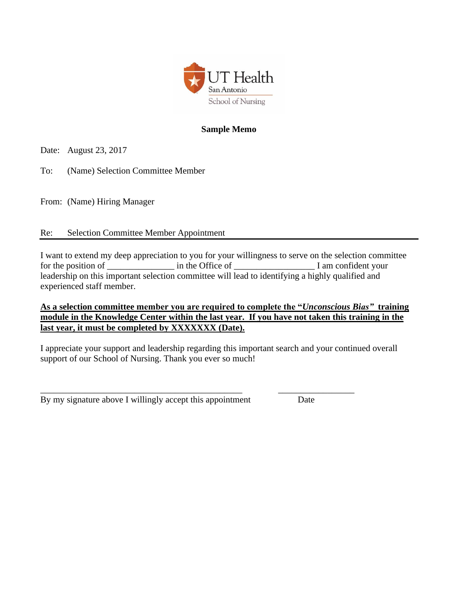

### **Sample Memo**

Date: August 23, 2017

To: (Name) Selection Committee Member

From: (Name) Hiring Manager

### Re: Selection Committee Member Appointment

I want to extend my deep appreciation to you for your willingness to serve on the selection committee for the position of \_\_\_\_\_\_\_\_\_\_\_\_\_\_\_ in the Office of \_\_\_\_\_\_\_\_\_\_\_\_\_\_\_\_\_\_ I am confident your leadership on this important selection committee will lead to identifying a highly qualified and experienced staff member.

### **As a selection committee member you are required to complete the "***Unconscious Bias"* **training module in the Knowledge Center within the last year. If you have not taken this training in the last year, it must be completed by XXXXXXX (Date).**

I appreciate your support and leadership regarding this important search and your continued overall support of our School of Nursing. Thank you ever so much!

\_\_\_\_\_\_\_\_\_\_\_\_\_\_\_\_\_\_\_\_\_\_\_\_\_\_\_\_\_\_\_\_\_\_\_\_\_\_\_\_\_\_\_\_\_ \_\_\_\_\_\_\_\_\_\_\_\_\_\_\_\_\_ By my signature above I willingly accept this appointment Date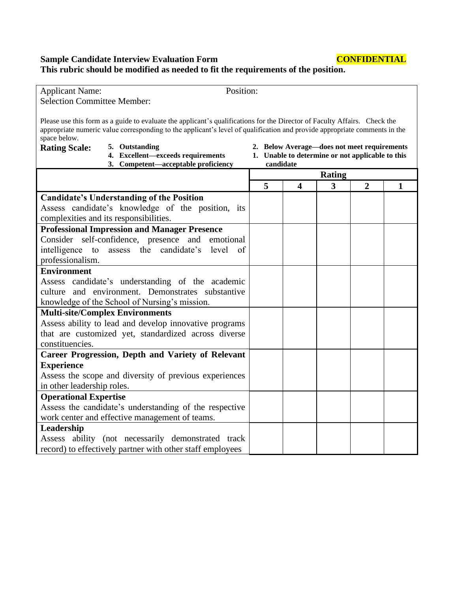**Sample Candidate Interview Evaluation Form CONFIDENTIAL This rubric should be modified as needed to fit the requirements of the position.** 

| Position:<br><b>Applicant Name:</b>                                                                                                                                                                                                                                    |           |                         |                                                  |                |              |
|------------------------------------------------------------------------------------------------------------------------------------------------------------------------------------------------------------------------------------------------------------------------|-----------|-------------------------|--------------------------------------------------|----------------|--------------|
| <b>Selection Committee Member:</b>                                                                                                                                                                                                                                     |           |                         |                                                  |                |              |
| Please use this form as a guide to evaluate the applicant's qualifications for the Director of Faculty Affairs. Check the<br>appropriate numeric value corresponding to the applicant's level of qualification and provide appropriate comments in the<br>space below. |           |                         |                                                  |                |              |
| 5. Outstanding<br><b>Rating Scale:</b>                                                                                                                                                                                                                                 |           |                         | 2. Below Average-does not meet requirements      |                |              |
| 4. Excellent-exceeds requirements                                                                                                                                                                                                                                      |           |                         | 1. Unable to determine or not applicable to this |                |              |
| 3. Competent-acceptable proficiency                                                                                                                                                                                                                                    | candidate |                         |                                                  |                |              |
|                                                                                                                                                                                                                                                                        |           |                         | <b>Rating</b>                                    |                |              |
|                                                                                                                                                                                                                                                                        | 5         | $\overline{\mathbf{4}}$ | 3                                                | $\overline{2}$ | $\mathbf{1}$ |
| <b>Candidate's Understanding of the Position</b>                                                                                                                                                                                                                       |           |                         |                                                  |                |              |
| Assess candidate's knowledge of the position, its                                                                                                                                                                                                                      |           |                         |                                                  |                |              |
| complexities and its responsibilities.                                                                                                                                                                                                                                 |           |                         |                                                  |                |              |
| <b>Professional Impression and Manager Presence</b>                                                                                                                                                                                                                    |           |                         |                                                  |                |              |
| Consider self-confidence, presence and<br>emotional                                                                                                                                                                                                                    |           |                         |                                                  |                |              |
| intelligence to<br>assess the candidate's<br>level<br>$\circ$ of                                                                                                                                                                                                       |           |                         |                                                  |                |              |
| professionalism.                                                                                                                                                                                                                                                       |           |                         |                                                  |                |              |
| <b>Environment</b>                                                                                                                                                                                                                                                     |           |                         |                                                  |                |              |
| Assess candidate's understanding of the academic                                                                                                                                                                                                                       |           |                         |                                                  |                |              |
| culture and environment. Demonstrates substantive                                                                                                                                                                                                                      |           |                         |                                                  |                |              |
| knowledge of the School of Nursing's mission.                                                                                                                                                                                                                          |           |                         |                                                  |                |              |
| <b>Multi-site/Complex Environments</b>                                                                                                                                                                                                                                 |           |                         |                                                  |                |              |
| Assess ability to lead and develop innovative programs                                                                                                                                                                                                                 |           |                         |                                                  |                |              |
| that are customized yet, standardized across diverse                                                                                                                                                                                                                   |           |                         |                                                  |                |              |
| constituencies.                                                                                                                                                                                                                                                        |           |                         |                                                  |                |              |
| <b>Career Progression, Depth and Variety of Relevant</b>                                                                                                                                                                                                               |           |                         |                                                  |                |              |
| <b>Experience</b>                                                                                                                                                                                                                                                      |           |                         |                                                  |                |              |
| Assess the scope and diversity of previous experiences                                                                                                                                                                                                                 |           |                         |                                                  |                |              |
| in other leadership roles.                                                                                                                                                                                                                                             |           |                         |                                                  |                |              |
| <b>Operational Expertise</b>                                                                                                                                                                                                                                           |           |                         |                                                  |                |              |
| Assess the candidate's understanding of the respective                                                                                                                                                                                                                 |           |                         |                                                  |                |              |
| work center and effective management of teams.                                                                                                                                                                                                                         |           |                         |                                                  |                |              |
| Leadership                                                                                                                                                                                                                                                             |           |                         |                                                  |                |              |
| Assess ability (not necessarily demonstrated track                                                                                                                                                                                                                     |           |                         |                                                  |                |              |
| record) to effectively partner with other staff employees                                                                                                                                                                                                              |           |                         |                                                  |                |              |